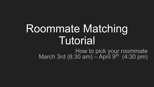# Roommate Matching Tutorial

How to pick your roommate March 3rd  $(8:30 \text{ am}) -$ April 9<sup>th</sup>  $(4:30 \text{ pm})$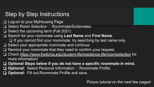# **Step by Step Instructions**

- ❑ Log-on to your MyHousing Page
- Select Room Selection □ Roommate/Suitemates
- ❑ Select the upcoming term (Fall 2021)
- ❑ Search for your roommate using **Last Name** and **First Name**.
	- ❑ If you cannot find your roommate, try searching by last name only.
- ❑ Select your appropriate roommate and continue.
- ❑ Remind your roommate that they need to confirm your request.
- ❑ Check<https://www.fredonia.edu/student-life/residence-life/roomselection> for more information!
- ❑ **Optional Steps below if you do not have a specific roommate in mind.**
- **□ Optional: Select Personal Information □ Roommate Profile**
- ❑ **Optional:** Fill out Roommate Profile and save.

Picture tutorial on the next few pages!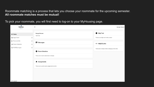#### Roommate matching is a process that lets you choose your roommate for the upcoming semester. **All roommate matches must be mutual!**

To pick your roommate, you will first need to log-on to your MyHousing page.

| ŧ.<br><b>FREDONIA</b><br>RESIDENCE LIFE |                                | $\times$                                                  | George Grissom                                              |
|-----------------------------------------|--------------------------------|-----------------------------------------------------------|-------------------------------------------------------------|
| i Home<br><b>■ Apply Now!</b>           | ⋗                              | <b>George Grissom</b><br><b>TEST123</b>                   | <b>O</b> Help Text<br>There is no help text for this screen |
| Personal Info<br>Room Selection         | $\rightarrow$<br>$\rightarrow$ | Messages                                                  | c∋ Helpful Links                                            |
| <b>A</b> RCR/Damages                    | $\rightarrow$                  | Room Selection<br>There are no room selections to display | There are no helpful links to display at this time.         |
|                                         |                                | A Assignments                                             |                                                             |
|                                         |                                | There are no active room assignments to list              |                                                             |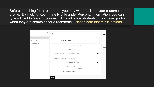Before searching for a roommate, you may want to fill out your roommate profile. By clicking Roommate Profile under Personal Information, you can type a little blurb about yourself. This will allow students to read your profile when they are searching for a roommate. Please note that this is optional!

| Personal Info      | $\boldsymbol{\times}$ | My Information                                          |                                         |
|--------------------|-----------------------|---------------------------------------------------------|-----------------------------------------|
| My Info            |                       |                                                         |                                         |
| Addresses/Contacts |                       | For the Term: Fall 2021                                 | ▼                                       |
| Roommate Profile   |                       | 4. Do you smoke?                                        | $\bigcirc$ Yes $\bigcirc$ No            |
|                    |                       | 1. What is your age?                                    | e of see characters                     |
|                    |                       | 5. How would you describe your level of cleanliness?    | C<br>(none)<br>$\blacktriangledown$     |
|                    |                       | 7. Do you prefer to go to bed before or after midnight? | C<br>(none)<br>$\overline{\phantom{a}}$ |
|                    |                       | 8. How studious are you?                                | C<br>(none)<br>$\overline{\mathbf{v}}$  |
|                    |                       | 3. What is your major?                                  | of 300 characters                       |
|                    |                       | 2. What is your class status?                           | C<br>$\overline{\phantom{a}}$           |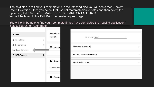The next step is to find your roommate! On the left hand side you will see a menu, select Room Selection. Once you select that, select roommates/suitemates and then select the upcoming Fall 2021 term. MAKE SURE YOU ARE ON FALL 2021! You will be taken to the Fall 2021 roommate request page.

You will only be able to find your roommate if they have completed the housing application! Select Search for Roommate.

| i Home                                 | <b>George Grissor</b><br><b>TEST123</b> | For the Term: Fall 2021<br>$\overline{\mathbf{v}}$ |
|----------------------------------------|-----------------------------------------|----------------------------------------------------|
| <b>■ Apply Now!</b><br>$\rightarrow$   |                                         |                                                    |
| Personal Info<br>ゝ                     | <b>E</b> Messag                         | Roommate Requests (0)<br>$\checkmark$              |
| Room Selection                         |                                         |                                                    |
| A RCR/Damages<br>$\blacktriangleright$ |                                         | Pending Roommate Requests (0)<br>$\checkmark$      |
|                                        | Room S                                  | Search for Roommate<br>$\checkmark$                |
|                                        | There are no ro                         |                                                    |
|                                        | A Assignr                               |                                                    |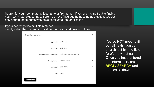Search for your roommate by last name or first name. If you are having trouble finding your roommate, please make sure they have filled out the housing application, you can only search for students who have completed that application.

If your search yields multiple matches, simply select the student you wish to room with and press continue.

| <b>Search for Roommate</b>        |                                   | ∧ |
|-----------------------------------|-----------------------------------|---|
| First Name:                       | First Name:                       |   |
| Last Name:                        | Last Name:                        |   |
| Bedtime before or after midnight: | Bedtime before or after midnight: |   |
| Cleaning Habits:                  | Cleaning Habits:                  | ▼ |
| Study Habits:                     | Study Habits:                     | ᢦ |
| Major:                            | Major:                            |   |
| <b>Begin Search</b>               |                                   |   |

You do NOT need to fill out all fields, you can search just by one field (preferably last name). Once you have entered the information, press BEGIN SEARCH and then scroll down..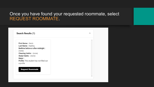## Once you have found your requested roommate, select REQUEST ROOMMATE.

| First Name:: Kevin                       |  |
|------------------------------------------|--|
| Last Name: : Kasling                     |  |
| Bedtime before or after midnight: :      |  |
| (none)                                   |  |
| <b>Cleaning Habits:</b> : (none)         |  |
| Study Habits: : (none)                   |  |
| Major::                                  |  |
| Profile: This student has not filled out |  |
| a profile                                |  |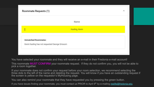

ᄉ

You have selected your roommate and they will receive an e-mail in their Fredonia e-mail account!

This roommate MUST CONFIRM your roommate request. If they do not confirm you, you will not be able to pick a room together.

❑ If your roommate does not confirm your request before your room selection, we recommend selecting the three dots to the left of the name and deleting the request. You will know if you have an outstanding request if the screen is yellow on the requestor's MyHousing page.

You can also remind your roommate that they have requested you by pressing the green button.

If you have issues finding your roommate, you must contact us PRIOR to April 9<sup>th</sup> by e-mailing [reslife@fredonia.edu](mailto:reslife@Fredonia.edu)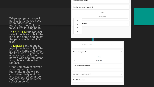❑ When you get an e-mail notification that you have been added as á roommate, please log-on to your MyHousing păge.

To CONFIRM the request, select the three dots to the left of the name and select the person with the plus sign.

To DELETE the request, select the three dots to the left of the name and select the trash can. If you do not want to room with the person who has requested you, please delete the request.

Once you have confirmed your réquest, your <sub>,</sub> roommate group will be considered fully matched and you can sélect a room together during the room selection period.